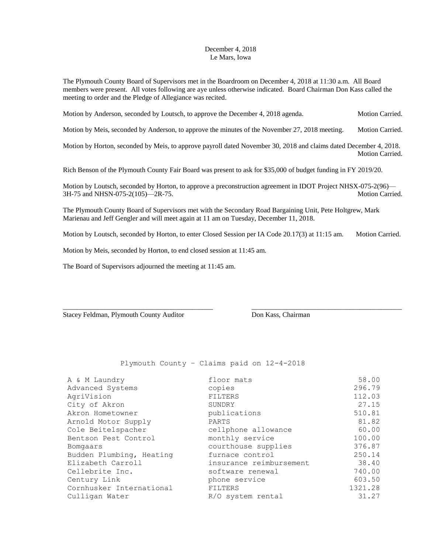## December 4, 2018 Le Mars, Iowa

The Plymouth County Board of Supervisors met in the Boardroom on December 4, 2018 at 11:30 a.m. All Board members were present. All votes following are aye unless otherwise indicated. Board Chairman Don Kass called the meeting to order and the Pledge of Allegiance was recited.

Motion by Anderson, seconded by Loutsch, to approve the December 4, 2018 agenda. Motion Carried.

Motion by Meis, seconded by Anderson, to approve the minutes of the November 27, 2018 meeting. Motion Carried.

Motion by Horton, seconded by Meis, to approve payroll dated November 30, 2018 and claims dated December 4, 2018. Motion Carried.

Rich Benson of the Plymouth County Fair Board was present to ask for \$35,000 of budget funding in FY 2019/20.

Motion by Loutsch, seconded by Horton, to approve a preconstruction agreement in IDOT Project NHSX-075-2(96)— 3H-75 and NHSN-075-2(105)—2R-75. Motion Carried.

The Plymouth County Board of Supervisors met with the Secondary Road Bargaining Unit, Pete Holtgrew, Mark Marienau and Jeff Gengler and will meet again at 11 am on Tuesday, December 11, 2018.

Motion by Loutsch, seconded by Horton, to enter Closed Session per IA Code 20.17(3) at 11:15 am. Motion Carried.

\_\_\_\_\_\_\_\_\_\_\_\_\_\_\_\_\_\_\_\_\_\_\_\_\_\_\_\_\_\_\_\_\_\_\_\_\_\_\_\_\_\_\_ \_\_\_\_\_\_\_\_\_\_\_\_\_\_\_\_\_\_\_\_\_\_\_\_\_\_\_\_\_\_\_\_\_\_\_\_\_\_\_\_\_\_\_

Motion by Meis, seconded by Horton, to end closed session at 11:45 am.

The Board of Supervisors adjourned the meeting at 11:45 am.

Stacey Feldman, Plymouth County Auditor Don Kass, Chairman

Plymouth County – Claims paid on 12-4-2018

| A & M Laundry            | floor mats              | 58.00   |
|--------------------------|-------------------------|---------|
| Advanced Systems         | copies                  | 296.79  |
| AgriVision               | FILTERS                 | 112.03  |
| City of Akron            | SUNDRY                  | 27.15   |
| Akron Hometowner         | publications            | 510.81  |
| Arnold Motor Supply      | PARTS                   | 81.82   |
| Cole Beitelspacher       | cellphone allowance     | 60.00   |
| Bentson Pest Control     | monthly service         | 100.00  |
| Bomgaars                 | courthouse supplies     | 376.87  |
| Budden Plumbing, Heating | furnace control         | 250.14  |
| Elizabeth Carroll        | insurance reimbursement | 38.40   |
| Cellebrite Inc.          | software renewal        | 740.00  |
| Century Link             | phone service           | 603.50  |
| Cornhusker International | FILTERS                 | 1321.28 |
| Culligan Water           | R/O system rental       | 31.27   |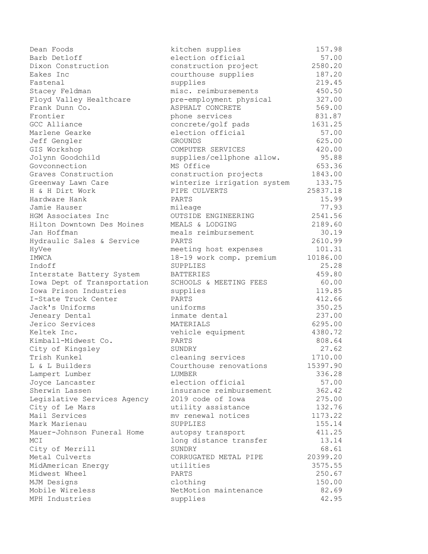Dean Foods kitchen supplies 157.98 Barb Detloff **Election** election official 57.00 Dixon Construction construction project 2580.20 Eakes Inc **Example 20** courthouse supplies 187.20 Fastenal supplies 219.45 Stacey Feldman misc. reimbursements 450.50 Floyd Valley Healthcare pre-employment physical 327.00 Frank Dunn Co. The South ASPHALT CONCRETE STATE SEPAINT SERIES SOLUTION OF STATE SERIES SERIES SERIES SOLUTION Frontier **phone services** 831.87 GCC Alliance and concrete/golf pads 1631.25 Marlene Gearke **Exercise Election official** 67.00 Jeff Gengler GROUNDS 625.00 GIS Workshop COMPUTER SERVICES 420.00 Jolynn Goodchild supplies/cellphone allow. 95.88 Govconnection **MS** Office **MS** Office 653.36 Graves Construction **construction** projects 1843.00 Greenway Lawn Care winterize irrigation system 133.75 H & H Dirt Work PIPE CULVERTS 25837.18 Hardware Hank PARTS 15.99 Jamie Hauser mileage 77.93 HGM Associates Inc OUTSIDE ENGINEERING 2541.56 Hilton Downtown Des Moines MEALS & LODGING 2189.60 Jan Hoffman meals reimbursement 30.19 Hydraulic Sales & Service PARTS 2610.99 HyVee meeting host expenses 101.31 IMWCA 18-19 work comp. premium 10186.00 Indoff SUPPLIES 25.28 Interstate Battery System BATTERIES 159.80 Iowa Dept of Transportation SCHOOLS & MEETING FEES 60.00 Iowa Prison Industries supplies 119.85 I-State Truck Center PARTS 2008 PARTS 412.66 Jack's Uniforms uniforms 350.25 Jeneary Dental inmate dental 237.00 Jerico Services MATERIALS 6295.00 Keltek Inc. **1288** vehicle equipment 4380.72 Kimball-Midwest Co. PARTS 808.64 City of Kingsley 27.62 Trish Kunkel cleaning services 1710.00 L & L Builders **Courthouse renovations** 15397.90 Lampert Lumber LUMBER 336.28 Joyce Lancaster election official 57.00 Sherwin Lassen **insurance reimbursement** 362.42 Legislative Services Agency 2019 code of Iowa 275.00 City of Le Mars **by The Contract City of Le Mars** 132.76 Mail Services mv renewal notices 1173.22 Mark Marienau SUPPLIES 155.14 Mauer-Johnson Funeral Home autopsy transport 411.25 MCI 13.14 City of Merrill SUNDRY SUNDRY 68.61 Metal Culverts CORRUGATED METAL PIPE 20399.20 MidAmerican Energy utilities 3575.55 Midwest Wheel PARTS 250.67 MJM Designs clothing 150.00 Mobile Wireless NetMotion maintenance 82.69 MPH Industries supplies 42.95